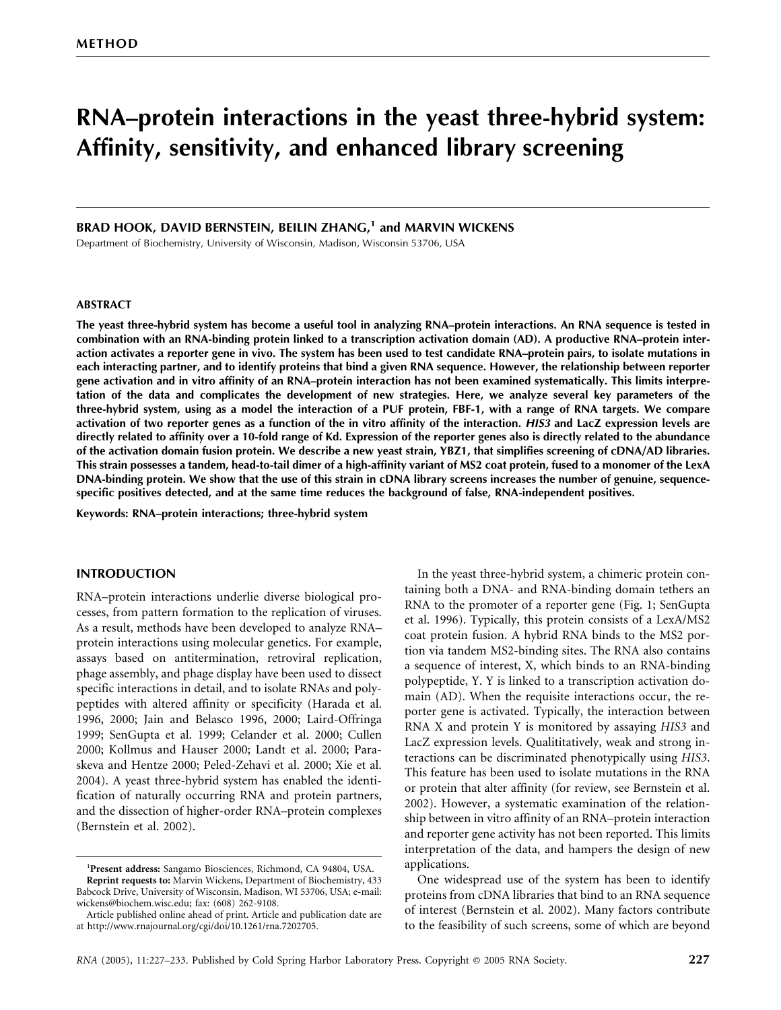# **RNA–protein interactions in the yeast three-hybrid system: Affinity, sensitivity, and enhanced library screening**

# **BRAD HOOK, DAVID BERNSTEIN, BEILIN ZHANG,1 and MARVIN WICKENS**

Department of Biochemistry, University of Wisconsin, Madison, Wisconsin 53706, USA

#### **ABSTRACT**

**The yeast three-hybrid system has become a useful tool in analyzing RNA–protein interactions. An RNA sequence is tested in combination with an RNA-binding protein linked to a transcription activation domain (AD). A productive RNA–protein interaction activates a reporter gene in vivo. The system has been used to test candidate RNA–protein pairs, to isolate mutations in each interacting partner, and to identify proteins that bind a given RNA sequence. However, the relationship between reporter gene activation and in vitro affinity of an RNA–protein interaction has not been examined systematically. This limits interpretation of the data and complicates the development of new strategies. Here, we analyze several key parameters of the three-hybrid system, using as a model the interaction of a PUF protein, FBF-1, with a range of RNA targets. We compare activation of two reporter genes as a function of the in vitro affinity of the interaction.** *HIS3* **and LacZ expression levels are directly related to affinity over a 10-fold range of Kd. Expression of the reporter genes also is directly related to the abundance of the activation domain fusion protein. We describe a new yeast strain, YBZ1, that simplifies screening of cDNA/AD libraries. This strain possesses a tandem, head-to-tail dimer of a high-affinity variant of MS2 coat protein, fused to a monomer of the LexA DNA-binding protein. We show that the use of this strain in cDNA library screens increases the number of genuine, sequencespecific positives detected, and at the same time reduces the background of false, RNA-independent positives.**

**Keywords: RNA–protein interactions; three-hybrid system**

#### **INTRODUCTION**

RNA–protein interactions underlie diverse biological processes, from pattern formation to the replication of viruses. As a result, methods have been developed to analyze RNA– protein interactions using molecular genetics. For example, assays based on antitermination, retroviral replication, phage assembly, and phage display have been used to dissect specific interactions in detail, and to isolate RNAs and polypeptides with altered affinity or specificity (Harada et al. 1996, 2000; Jain and Belasco 1996, 2000; Laird-Offringa 1999; SenGupta et al. 1999; Celander et al. 2000; Cullen 2000; Kollmus and Hauser 2000; Landt et al. 2000; Paraskeva and Hentze 2000; Peled-Zehavi et al. 2000; Xie et al. 2004). A yeast three-hybrid system has enabled the identification of naturally occurring RNA and protein partners, and the dissection of higher-order RNA–protein complexes (Bernstein et al. 2002).

In the yeast three-hybrid system, a chimeric protein containing both a DNA- and RNA-binding domain tethers an RNA to the promoter of a reporter gene (Fig. 1; SenGupta et al. 1996). Typically, this protein consists of a LexA/MS2 coat protein fusion. A hybrid RNA binds to the MS2 portion via tandem MS2-binding sites. The RNA also contains a sequence of interest, X, which binds to an RNA-binding polypeptide, Y. Y is linked to a transcription activation domain (AD). When the requisite interactions occur, the reporter gene is activated. Typically, the interaction between RNA X and protein Y is monitored by assaying *HIS3* and LacZ expression levels. Qualititatively, weak and strong interactions can be discriminated phenotypically using *HIS3*. This feature has been used to isolate mutations in the RNA or protein that alter affinity (for review, see Bernstein et al. 2002). However, a systematic examination of the relationship between in vitro affinity of an RNA–protein interaction and reporter gene activity has not been reported. This limits interpretation of the data, and hampers the design of new applications.

One widespread use of the system has been to identify proteins from cDNA libraries that bind to an RNA sequence of interest (Bernstein et al. 2002). Many factors contribute to the feasibility of such screens, some of which are beyond

<sup>1</sup> **Present address:** Sangamo Biosciences, Richmond, CA 94804, USA. **Reprint requests to:** Marvin Wickens, Department of Biochemistry, 433 Babcock Drive, University of Wisconsin, Madison, WI 53706, USA; e-mail: wickens@biochem.wisc.edu; fax: (608) 262-9108.

Article published online ahead of print. Article and publication date are at http://www.rnajournal.org/cgi/doi/10.1261/rna.7202705.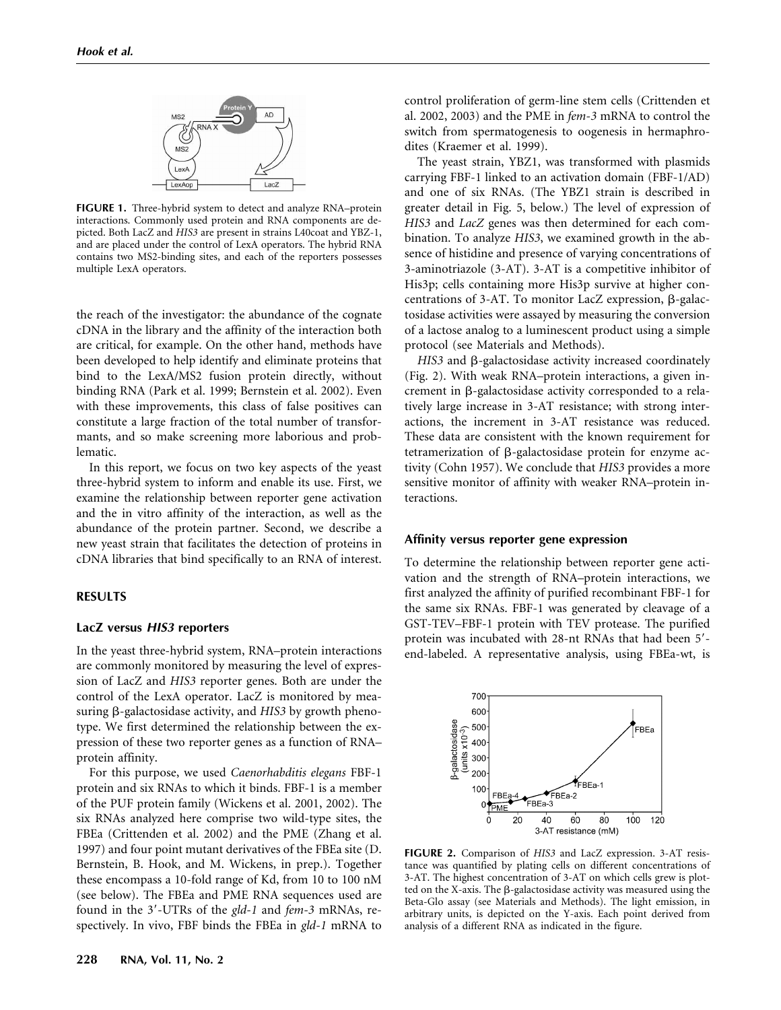

**FIGURE 1.** Three-hybrid system to detect and analyze RNA–protein interactions. Commonly used protein and RNA components are depicted. Both LacZ and *HIS3* are present in strains L40coat and YBZ-1, and are placed under the control of LexA operators. The hybrid RNA contains two MS2-binding sites, and each of the reporters possesses multiple LexA operators.

the reach of the investigator: the abundance of the cognate cDNA in the library and the affinity of the interaction both are critical, for example. On the other hand, methods have been developed to help identify and eliminate proteins that bind to the LexA/MS2 fusion protein directly, without binding RNA (Park et al. 1999; Bernstein et al. 2002). Even with these improvements, this class of false positives can constitute a large fraction of the total number of transformants, and so make screening more laborious and problematic.

In this report, we focus on two key aspects of the yeast three-hybrid system to inform and enable its use. First, we examine the relationship between reporter gene activation and the in vitro affinity of the interaction, as well as the abundance of the protein partner. Second, we describe a new yeast strain that facilitates the detection of proteins in cDNA libraries that bind specifically to an RNA of interest.

# **RESULTS**

#### **LacZ versus** *HIS3* **reporters**

In the yeast three-hybrid system, RNA–protein interactions are commonly monitored by measuring the level of expression of LacZ and *HIS3* reporter genes. Both are under the control of the LexA operator. LacZ is monitored by measuring  $\beta$ -galactosidase activity, and *HIS3* by growth phenotype. We first determined the relationship between the expression of these two reporter genes as a function of RNA– protein affinity.

For this purpose, we used *Caenorhabditis elegans* FBF-1 protein and six RNAs to which it binds. FBF-1 is a member of the PUF protein family (Wickens et al. 2001, 2002). The six RNAs analyzed here comprise two wild-type sites, the FBEa (Crittenden et al. 2002) and the PME (Zhang et al. 1997) and four point mutant derivatives of the FBEa site (D. Bernstein, B. Hook, and M. Wickens, in prep.). Together these encompass a 10-fold range of Kd, from 10 to 100 nM (see below). The FBEa and PME RNA sequences used are found in the 3-UTRs of the *gld-1* and *fem-3* mRNAs, respectively. In vivo, FBF binds the FBEa in *gld-1* mRNA to control proliferation of germ-line stem cells (Crittenden et al. 2002, 2003) and the PME in *fem-3* mRNA to control the switch from spermatogenesis to oogenesis in hermaphrodites (Kraemer et al. 1999).

The yeast strain, YBZ1, was transformed with plasmids carrying FBF-1 linked to an activation domain (FBF-1/AD) and one of six RNAs. (The YBZ1 strain is described in greater detail in Fig. 5, below.) The level of expression of *HIS3* and *LacZ* genes was then determined for each combination. To analyze *HIS3*, we examined growth in the absence of histidine and presence of varying concentrations of 3-aminotriazole (3-AT). 3-AT is a competitive inhibitor of His3p; cells containing more His3p survive at higher concentrations of 3-AT. To monitor LacZ expression,  $\beta$ -galactosidase activities were assayed by measuring the conversion of a lactose analog to a luminescent product using a simple protocol (see Materials and Methods).

*HIS3* and  $\beta$ -galactosidase activity increased coordinately (Fig. 2). With weak RNA–protein interactions, a given increment in  $\beta$ -galactosidase activity corresponded to a relatively large increase in 3-AT resistance; with strong interactions, the increment in 3-AT resistance was reduced. These data are consistent with the known requirement for tetramerization of  $\beta$ -galactosidase protein for enzyme activity (Cohn 1957). We conclude that *HIS3* provides a more sensitive monitor of affinity with weaker RNA–protein interactions.

#### **Affinity versus reporter gene expression**

To determine the relationship between reporter gene activation and the strength of RNA–protein interactions, we first analyzed the affinity of purified recombinant FBF-1 for the same six RNAs. FBF-1 was generated by cleavage of a GST-TEV–FBF-1 protein with TEV protease. The purified protein was incubated with 28-nt RNAs that had been 5 end-labeled. A representative analysis, using FBEa-wt, is



**FIGURE 2.** Comparison of *HIS3* and LacZ expression. 3-AT resistance was quantified by plating cells on different concentrations of 3-AT. The highest concentration of 3-AT on which cells grew is plotted on the X-axis. The  $\beta$ -galactosidase activity was measured using the Beta-Glo assay (see Materials and Methods). The light emission, in arbitrary units, is depicted on the Y-axis. Each point derived from analysis of a different RNA as indicated in the figure.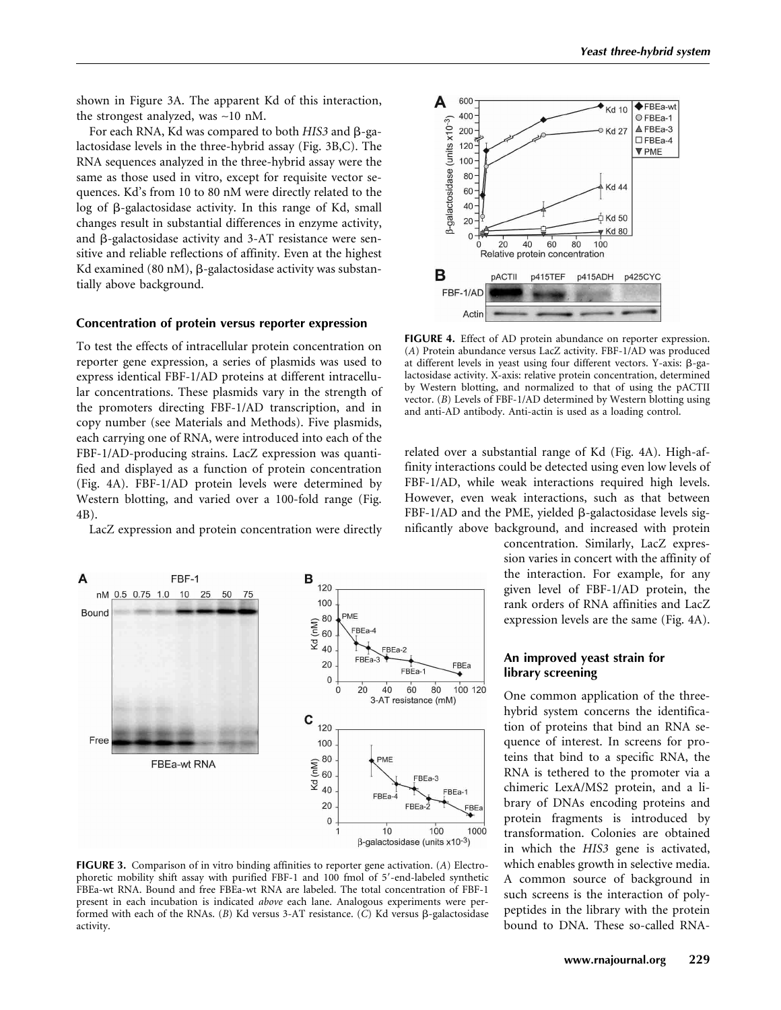shown in Figure 3A. The apparent Kd of this interaction, the strongest analyzed, was ∼10 nM.

For each RNA, Kd was compared to both *HIS3* and  $\beta$ -galactosidase levels in the three-hybrid assay (Fig. 3B,C). The RNA sequences analyzed in the three-hybrid assay were the same as those used in vitro, except for requisite vector sequences. Kd's from 10 to 80 nM were directly related to the  $\log$  of  $\beta$ -galactosidase activity. In this range of Kd, small changes result in substantial differences in enzyme activity, and  $\beta$ -galactosidase activity and 3-AT resistance were sensitive and reliable reflections of affinity. Even at the highest Kd examined  $(80 \text{ nM})$ ,  $\beta$ -galactosidase activity was substantially above background.

# **Concentration of protein versus reporter expression**

To test the effects of intracellular protein concentration on reporter gene expression, a series of plasmids was used to express identical FBF-1/AD proteins at different intracellular concentrations. These plasmids vary in the strength of the promoters directing FBF-1/AD transcription, and in copy number (see Materials and Methods). Five plasmids, each carrying one of RNA, were introduced into each of the FBF-1/AD-producing strains. LacZ expression was quantified and displayed as a function of protein concentration (Fig. 4A). FBF-1/AD protein levels were determined by Western blotting, and varied over a 100-fold range (Fig. 4B).

LacZ expression and protein concentration were directly



**FIGURE 3.** Comparison of in vitro binding affinities to reporter gene activation. (*A*) Electrophoretic mobility shift assay with purified FBF-1 and 100 fmol of 5-end-labeled synthetic FBEa-wt RNA. Bound and free FBEa-wt RNA are labeled. The total concentration of FBF-1 present in each incubation is indicated *above* each lane. Analogous experiments were performed with each of the RNAs. ( $B$ ) Kd versus 3-AT resistance. (C) Kd versus  $\beta$ -galactosidase activity.



**FIGURE 4.** Effect of AD protein abundance on reporter expression. (*A*) Protein abundance versus LacZ activity. FBF-1/AD was produced at different levels in yeast using four different vectors. Y-axis:  $\beta$ -galactosidase activity. X-axis: relative protein concentration, determined by Western blotting, and normalized to that of using the pACTII vector. (*B*) Levels of FBF-1/AD determined by Western blotting using and anti-AD antibody. Anti-actin is used as a loading control.

related over a substantial range of Kd (Fig. 4A). High-affinity interactions could be detected using even low levels of FBF-1/AD, while weak interactions required high levels. However, even weak interactions, such as that between  $FBF-1/AD$  and the PME, yielded  $\beta$ -galactosidase levels significantly above background, and increased with protein

> concentration. Similarly, LacZ expression varies in concert with the affinity of the interaction. For example, for any given level of FBF-1/AD protein, the rank orders of RNA affinities and LacZ expression levels are the same (Fig. 4A).

# **An improved yeast strain for library screening**

One common application of the threehybrid system concerns the identification of proteins that bind an RNA sequence of interest. In screens for proteins that bind to a specific RNA, the RNA is tethered to the promoter via a chimeric LexA/MS2 protein, and a library of DNAs encoding proteins and protein fragments is introduced by transformation. Colonies are obtained in which the *HIS3* gene is activated, which enables growth in selective media. A common source of background in such screens is the interaction of polypeptides in the library with the protein bound to DNA. These so-called RNA-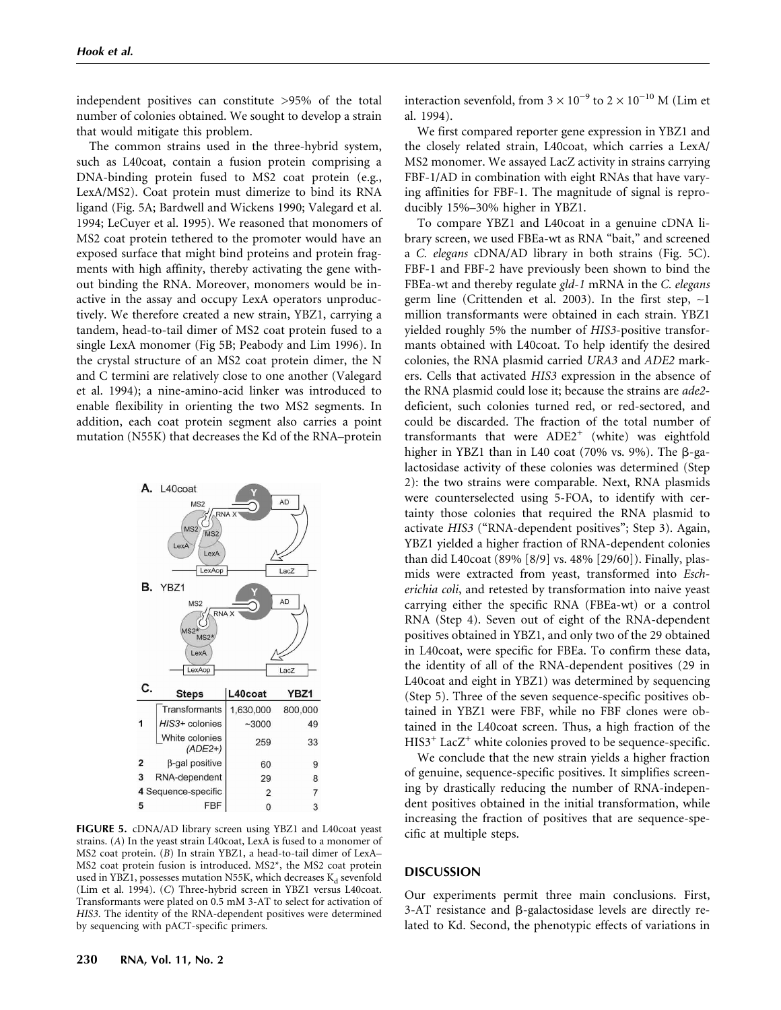independent positives can constitute >95% of the total number of colonies obtained. We sought to develop a strain that would mitigate this problem.

The common strains used in the three-hybrid system, such as L40coat, contain a fusion protein comprising a DNA-binding protein fused to MS2 coat protein (e.g., LexA/MS2). Coat protein must dimerize to bind its RNA ligand (Fig. 5A; Bardwell and Wickens 1990; Valegard et al. 1994; LeCuyer et al. 1995). We reasoned that monomers of MS2 coat protein tethered to the promoter would have an exposed surface that might bind proteins and protein fragments with high affinity, thereby activating the gene without binding the RNA. Moreover, monomers would be inactive in the assay and occupy LexA operators unproductively. We therefore created a new strain, YBZ1, carrying a tandem, head-to-tail dimer of MS2 coat protein fused to a single LexA monomer (Fig 5B; Peabody and Lim 1996). In the crystal structure of an MS2 coat protein dimer, the N and C termini are relatively close to one another (Valegard et al. 1994); a nine-amino-acid linker was introduced to enable flexibility in orienting the two MS2 segments. In addition, each coat protein segment also carries a point mutation (N55K) that decreases the Kd of the RNA–protein



**FIGURE 5.** cDNA/AD library screen using YBZ1 and L40coat yeast strains. (*A*) In the yeast strain L40coat, LexA is fused to a monomer of MS2 coat protein. (*B*) In strain YBZ1, a head-to-tail dimer of LexA– MS2 coat protein fusion is introduced. MS2\*, the MS2 coat protein used in YBZ1, possesses mutation N55K, which decreases  $K_d$  sevenfold (Lim et al. 1994). (*C*) Three-hybrid screen in YBZ1 versus L40coat. Transformants were plated on 0.5 mM 3-AT to select for activation of *HIS3*. The identity of the RNA-dependent positives were determined by sequencing with pACT-specific primers.

interaction sevenfold, from  $3 \times 10^{-9}$  to  $2 \times 10^{-10}$  M (Lim et al. 1994).

We first compared reporter gene expression in YBZ1 and the closely related strain, L40coat, which carries a LexA/ MS2 monomer. We assayed LacZ activity in strains carrying FBF-1/AD in combination with eight RNAs that have varying affinities for FBF-1. The magnitude of signal is reproducibly 15%–30% higher in YBZ1.

To compare YBZ1 and L40coat in a genuine cDNA library screen, we used FBEa-wt as RNA "bait," and screened a *C. elegans* cDNA/AD library in both strains (Fig. 5C). FBF-1 and FBF-2 have previously been shown to bind the FBEa-wt and thereby regulate *gld-1* mRNA in the *C. elegans* germ line (Crittenden et al. 2003). In the first step, ∼1 million transformants were obtained in each strain. YBZ1 yielded roughly 5% the number of *HIS3*-positive transformants obtained with L40coat. To help identify the desired colonies, the RNA plasmid carried *URA3* and *ADE2* markers. Cells that activated *HIS3* expression in the absence of the RNA plasmid could lose it; because the strains are *ade2* deficient, such colonies turned red, or red-sectored, and could be discarded. The fraction of the total number of transformants that were  $ADE2^+$  (white) was eightfold higher in YBZ1 than in L40 coat (70% vs. 9%). The  $\beta$ -galactosidase activity of these colonies was determined (Step 2): the two strains were comparable. Next, RNA plasmids were counterselected using 5-FOA, to identify with certainty those colonies that required the RNA plasmid to activate *HIS3* ("RNA-dependent positives"; Step 3). Again, YBZ1 yielded a higher fraction of RNA-dependent colonies than did L40coat (89% [8/9] vs. 48% [29/60]). Finally, plasmids were extracted from yeast, transformed into *Escherichia coli*, and retested by transformation into naive yeast carrying either the specific RNA (FBEa-wt) or a control RNA (Step 4). Seven out of eight of the RNA-dependent positives obtained in YBZ1, and only two of the 29 obtained in L40coat, were specific for FBEa. To confirm these data, the identity of all of the RNA-dependent positives (29 in L40coat and eight in YBZ1) was determined by sequencing (Step 5). Three of the seven sequence-specific positives obtained in YBZ1 were FBF, while no FBF clones were obtained in the L40coat screen. Thus, a high fraction of the  $HIS3<sup>+</sup>$  Lac $Z<sup>+</sup>$  white colonies proved to be sequence-specific.

We conclude that the new strain yields a higher fraction of genuine, sequence-specific positives. It simplifies screening by drastically reducing the number of RNA-independent positives obtained in the initial transformation, while increasing the fraction of positives that are sequence-specific at multiple steps.

#### **DISCUSSION**

Our experiments permit three main conclusions. First,  $3-AT$  resistance and  $\beta$ -galactosidase levels are directly related to Kd. Second, the phenotypic effects of variations in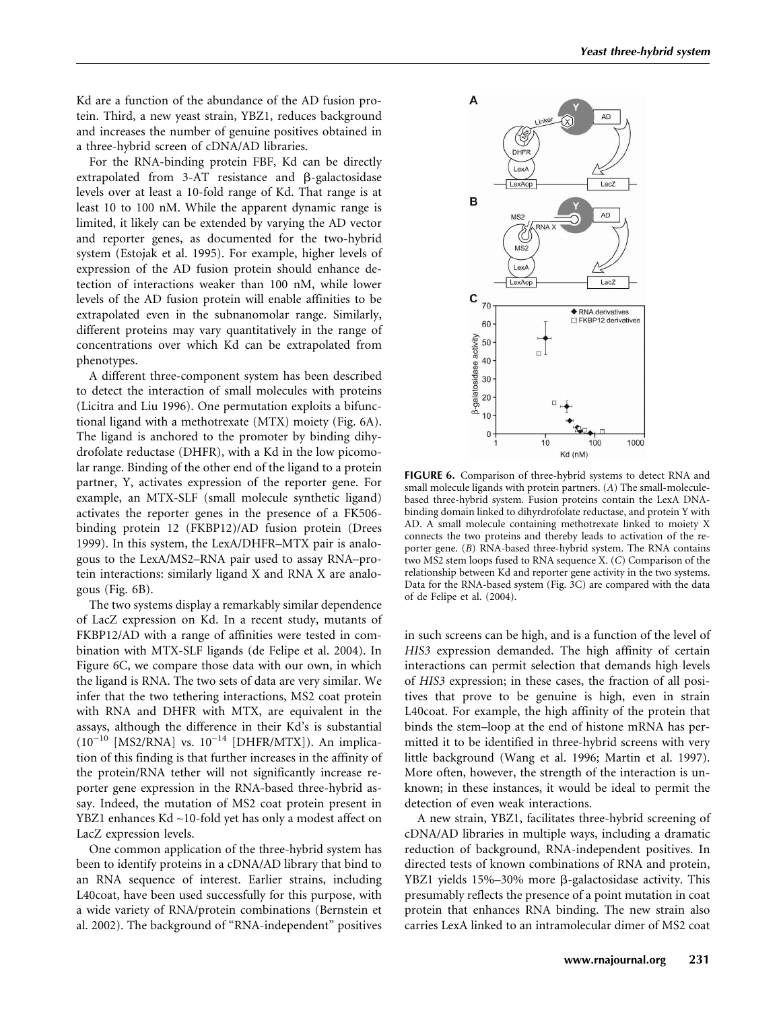Kd are a function of the abundance of the AD fusion protein. Third, a new yeast strain, YBZ1, reduces background and increases the number of genuine positives obtained in a three-hybrid screen of cDNA/AD libraries.

For the RNA-binding protein FBF, Kd can be directly extrapolated from  $3-AT$  resistance and  $\beta$ -galactosidase levels over at least a 10-fold range of Kd. That range is at least 10 to 100 nM. While the apparent dynamic range is limited, it likely can be extended by varying the AD vector and reporter genes, as documented for the two-hybrid system (Estojak et al. 1995). For example, higher levels of expression of the AD fusion protein should enhance detection of interactions weaker than 100 nM, while lower levels of the AD fusion protein will enable affinities to be extrapolated even in the subnanomolar range. Similarly, different proteins may vary quantitatively in the range of concentrations over which Kd can be extrapolated from phenotypes.

A different three-component system has been described to detect the interaction of small molecules with proteins (Licitra and Liu 1996). One permutation exploits a bifunctional ligand with a methotrexate (MTX) moiety (Fig. 6A). The ligand is anchored to the promoter by binding dihydrofolate reductase (DHFR), with a Kd in the low picomolar range. Binding of the other end of the ligand to a protein partner, Y, activates expression of the reporter gene. For example, an MTX-SLF (small molecule synthetic ligand) activates the reporter genes in the presence of a FK506 binding protein 12 (FKBP12)/AD fusion protein (Drees 1999). In this system, the LexA/DHFR–MTX pair is analogous to the LexA/MS2–RNA pair used to assay RNA–protein interactions: similarly ligand X and RNA X are analogous (Fig. 6B).

The two systems display a remarkably similar dependence of LacZ expression on Kd. In a recent study, mutants of FKBP12/AD with a range of affinities were tested in combination with MTX-SLF ligands (de Felipe et al. 2004). In Figure 6C, we compare those data with our own, in which the ligand is RNA. The two sets of data are very similar. We infer that the two tethering interactions, MS2 coat protein with RNA and DHFR with MTX, are equivalent in the assays, although the difference in their Kd's is substantial  $(10^{-10}$  [MS2/RNA] vs.  $10^{-14}$  [DHFR/MTX]). An implication of this finding is that further increases in the affinity of the protein/RNA tether will not significantly increase reporter gene expression in the RNA-based three-hybrid assay. Indeed, the mutation of MS2 coat protein present in YBZ1 enhances Kd ∼10-fold yet has only a modest affect on LacZ expression levels.

One common application of the three-hybrid system has been to identify proteins in a cDNA/AD library that bind to an RNA sequence of interest. Earlier strains, including L40coat, have been used successfully for this purpose, with a wide variety of RNA/protein combinations (Bernstein et al. 2002). The background of "RNA-independent" positives



**FIGURE 6.** Comparison of three-hybrid systems to detect RNA and small molecule ligands with protein partners. (*A*) The small-moleculebased three-hybrid system. Fusion proteins contain the LexA DNAbinding domain linked to dihyrdrofolate reductase, and protein Y with AD. A small molecule containing methotrexate linked to moiety X connects the two proteins and thereby leads to activation of the reporter gene. (*B*) RNA-based three-hybrid system. The RNA contains two MS2 stem loops fused to RNA sequence X. (*C*) Comparison of the relationship between Kd and reporter gene activity in the two systems. Data for the RNA-based system (Fig. 3C) are compared with the data of de Felipe et al. (2004).

in such screens can be high, and is a function of the level of *HIS3* expression demanded. The high affinity of certain interactions can permit selection that demands high levels of *HIS3* expression; in these cases, the fraction of all positives that prove to be genuine is high, even in strain L40coat. For example, the high affinity of the protein that binds the stem–loop at the end of histone mRNA has permitted it to be identified in three-hybrid screens with very little background (Wang et al. 1996; Martin et al. 1997). More often, however, the strength of the interaction is unknown; in these instances, it would be ideal to permit the detection of even weak interactions.

A new strain, YBZ1, facilitates three-hybrid screening of cDNA/AD libraries in multiple ways, including a dramatic reduction of background, RNA-independent positives. In directed tests of known combinations of RNA and protein, YBZ1 yields  $15\% - 30\%$  more  $\beta$ -galactosidase activity. This presumably reflects the presence of a point mutation in coat protein that enhances RNA binding. The new strain also carries LexA linked to an intramolecular dimer of MS2 coat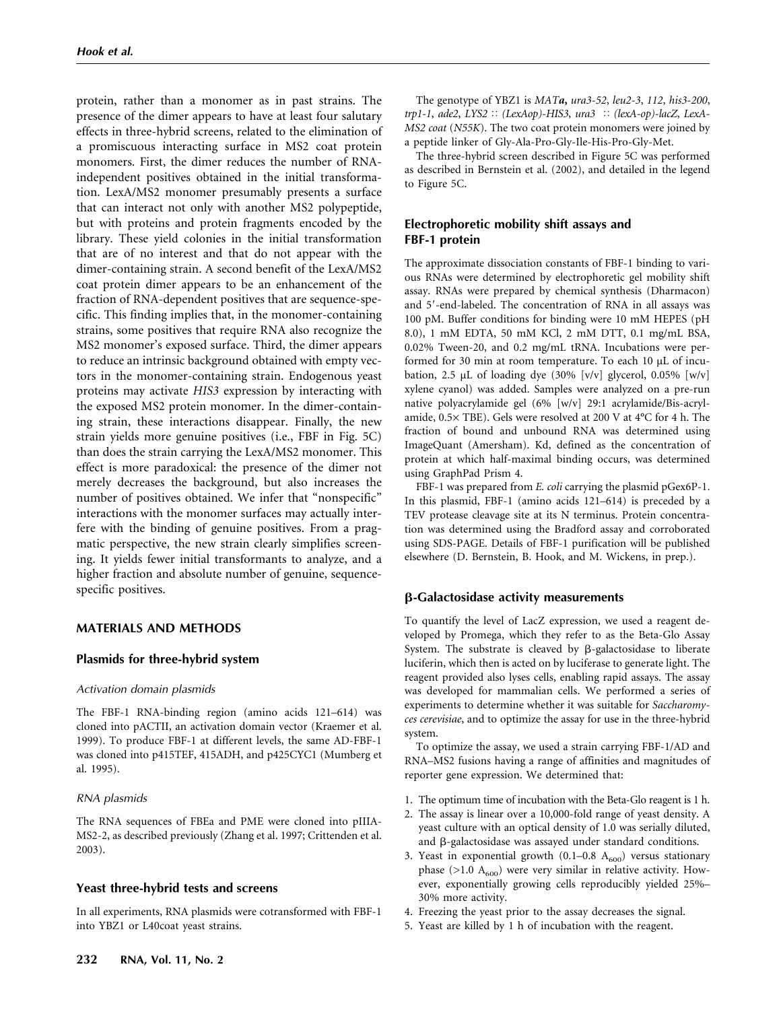protein, rather than a monomer as in past strains. The presence of the dimer appears to have at least four salutary effects in three-hybrid screens, related to the elimination of a promiscuous interacting surface in MS2 coat protein monomers. First, the dimer reduces the number of RNAindependent positives obtained in the initial transformation. LexA/MS2 monomer presumably presents a surface that can interact not only with another MS2 polypeptide, but with proteins and protein fragments encoded by the library. These yield colonies in the initial transformation that are of no interest and that do not appear with the dimer-containing strain. A second benefit of the LexA/MS2 coat protein dimer appears to be an enhancement of the fraction of RNA-dependent positives that are sequence-specific. This finding implies that, in the monomer-containing strains, some positives that require RNA also recognize the MS2 monomer's exposed surface. Third, the dimer appears to reduce an intrinsic background obtained with empty vectors in the monomer-containing strain. Endogenous yeast proteins may activate *HIS3* expression by interacting with the exposed MS2 protein monomer. In the dimer-containing strain, these interactions disappear. Finally, the new strain yields more genuine positives (i.e., FBF in Fig. 5C) than does the strain carrying the LexA/MS2 monomer. This effect is more paradoxical: the presence of the dimer not merely decreases the background, but also increases the number of positives obtained. We infer that "nonspecific" interactions with the monomer surfaces may actually interfere with the binding of genuine positives. From a pragmatic perspective, the new strain clearly simplifies screening. It yields fewer initial transformants to analyze, and a higher fraction and absolute number of genuine, sequencespecific positives.

# **MATERIALS AND METHODS**

# **Plasmids for three-hybrid system**

#### *Activation domain plasmids*

The FBF-1 RNA-binding region (amino acids 121–614) was cloned into pACTII, an activation domain vector (Kraemer et al. 1999). To produce FBF-1 at different levels, the same AD-FBF-1 was cloned into p415TEF, 415ADH, and p425CYC1 (Mumberg et al. 1995).

#### *RNA plasmids*

The RNA sequences of FBEa and PME were cloned into pIIIA-MS2-2, as described previously (Zhang et al. 1997; Crittenden et al. 2003).

# **Yeast three-hybrid tests and screens**

In all experiments, RNA plasmids were cotransformed with FBF-1 into YBZ1 or L40coat yeast strains.

The genotype of YBZ1 is *MATa***,** *ura3-52*, *leu2-3*, *112*, *his3-200*, *trp1-1*, *ade2*, *LYS2 (LexAop)-HIS3*, *ura3 (lexA-op)-lacZ*, *LexA-MS2 coat* (*N55K*). The two coat protein monomers were joined by a peptide linker of Gly-Ala-Pro-Gly-Ile-His-Pro-Gly-Met.

The three-hybrid screen described in Figure 5C was performed as described in Bernstein et al. (2002), and detailed in the legend to Figure 5C.

# **Electrophoretic mobility shift assays and FBF-1 protein**

The approximate dissociation constants of FBF-1 binding to various RNAs were determined by electrophoretic gel mobility shift assay. RNAs were prepared by chemical synthesis (Dharmacon) and 5'-end-labeled. The concentration of RNA in all assays was 100 pM. Buffer conditions for binding were 10 mM HEPES (pH 8.0), 1 mM EDTA, 50 mM KCl, 2 mM DTT, 0.1 mg/mL BSA, 0.02% Tween-20, and 0.2 mg/mL tRNA. Incubations were performed for 30 min at room temperature. To each 10 µL of incubation, 2.5  $\mu$ L of loading dye (30% [v/v] glycerol, 0.05% [w/v] xylene cyanol) was added. Samples were analyzed on a pre-run native polyacrylamide gel (6% [w/v] 29:1 acrylamide/Bis-acrylamide, 0.5× TBE). Gels were resolved at 200 V at 4°C for 4 h. The fraction of bound and unbound RNA was determined using ImageQuant (Amersham). Kd, defined as the concentration of protein at which half-maximal binding occurs, was determined using GraphPad Prism 4.

FBF-1 was prepared from *E. coli* carrying the plasmid pGex6P-1. In this plasmid, FBF-1 (amino acids 121–614) is preceded by a TEV protease cleavage site at its N terminus. Protein concentration was determined using the Bradford assay and corroborated using SDS-PAGE. Details of FBF-1 purification will be published elsewhere (D. Bernstein, B. Hook, and M. Wickens, in prep.).

# **-Galactosidase activity measurements**

To quantify the level of LacZ expression, we used a reagent developed by Promega, which they refer to as the Beta-Glo Assay System. The substrate is cleaved by  $\beta$ -galactosidase to liberate luciferin, which then is acted on by luciferase to generate light. The reagent provided also lyses cells, enabling rapid assays. The assay was developed for mammalian cells. We performed a series of experiments to determine whether it was suitable for *Saccharomyces cerevisiae*, and to optimize the assay for use in the three-hybrid system.

To optimize the assay, we used a strain carrying FBF-1/AD and RNA–MS2 fusions having a range of affinities and magnitudes of reporter gene expression. We determined that:

- 1. The optimum time of incubation with the Beta-Glo reagent is 1 h.
- 2. The assay is linear over a 10,000-fold range of yeast density. A yeast culture with an optical density of 1.0 was serially diluted, and  $\beta$ -galactosidase was assayed under standard conditions.
- 3. Yeast in exponential growth  $(0.1-0.8 \text{ A}_{600})$  versus stationary phase ( $>1.0$  A<sub>600</sub>) were very similar in relative activity. However, exponentially growing cells reproducibly yielded 25%– 30% more activity.
- 4. Freezing the yeast prior to the assay decreases the signal.
- 5. Yeast are killed by 1 h of incubation with the reagent.